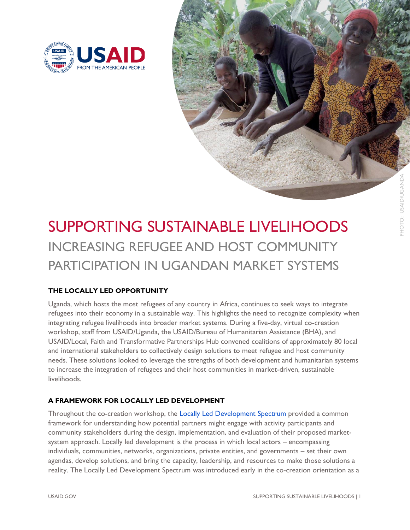

## SUPPORTING SUSTAINABLE LIVELIHOODS INCREASING REFUGEE AND HOST COMMUNITY PARTICIPATION IN UGANDAN MARKET SYSTEMS

## **THE LOCALLY LED OPPORTUNITY**

Uganda, which hosts the most refugees of any country in Africa, continues to seek ways to integrate refugees into their economy in a sustainable way. This highlights the need to recognize complexity when integrating refugee livelihoods into broader market systems. During a five-day, virtual co-creation workshop, staff from USAID/Uganda, the USAID/Bureau of Humanitarian Assistance (BHA), and USAID/Local, Faith and Transformative Partnerships Hub convened coalitions of approximately 80 local and international stakeholders to collectively design solutions to meet refugee and host community needs. These solutions looked to leverage the strengths of both development and humanitarian systems to increase the integration of refugees and their host communities in market-driven, sustainable livelihoods.

## **A FRAMEWORK FOR LOCALLY LED DEVELOPMENT**

Throughout the co-creation workshop, the **Locally Led Development Spectrum** provided a common framework for understanding how potential partners might engage with activity participants and community stakeholders during the design, implementation, and evaluation of their proposed marketsystem approach. Locally led development is the process in which local actors – encompassing individuals, communities, networks, organizations, private entities, and governments – set their own agendas, develop solutions, and bring the capacity, leadership, and resources to make those solutions a reality. The Locally Led Development Spectrum was introduced early in the co-creation orientation as a